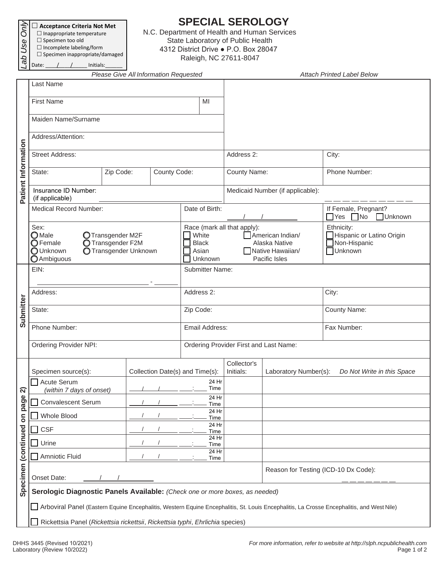|               | ਵੈ। □ Acceptance Criteria Not Met |
|---------------|-----------------------------------|
| σI            | $\Box$ Inappropriate temperature  |
| $^{\circ}$ ss | $\square$ Specimen too old        |
|               | $\Box$ Incomplete labeling/form   |

## $\square$  Specimen inappropriate/damaged *La*<br>B<br>Date:

/ Initials:

## **SPECIAL SEROLOGY**

N.C. Department of Health and Human Services State Laboratory of Public Health 4312 District Drive ● P.O. Box 28047 Raleigh, NC 27611-8047

|                     |                                                                                                                                                          | Please Give All Information Requested |               | <b>Attach Printed Label Below</b>                                                                                                                  |                                        |                                                     |                                                                            |  |  |
|---------------------|----------------------------------------------------------------------------------------------------------------------------------------------------------|---------------------------------------|---------------|----------------------------------------------------------------------------------------------------------------------------------------------------|----------------------------------------|-----------------------------------------------------|----------------------------------------------------------------------------|--|--|
|                     | Last Name                                                                                                                                                |                                       |               |                                                                                                                                                    |                                        |                                                     |                                                                            |  |  |
|                     | <b>First Name</b>                                                                                                                                        |                                       |               |                                                                                                                                                    |                                        |                                                     |                                                                            |  |  |
|                     | Maiden Name/Surname                                                                                                                                      |                                       |               |                                                                                                                                                    |                                        |                                                     |                                                                            |  |  |
|                     | Address/Attention:                                                                                                                                       |                                       |               |                                                                                                                                                    |                                        |                                                     |                                                                            |  |  |
| Patient Information | <b>Street Address:</b>                                                                                                                                   |                                       |               |                                                                                                                                                    | Address 2:                             |                                                     | City:                                                                      |  |  |
|                     | Zip Code:<br>County Code:<br>State:                                                                                                                      |                                       |               |                                                                                                                                                    | County Name:                           |                                                     | Phone Number:                                                              |  |  |
|                     | Insurance ID Number:<br>(if applicable)                                                                                                                  |                                       |               |                                                                                                                                                    | Medicaid Number (if applicable):       |                                                     |                                                                            |  |  |
|                     | <b>Medical Record Number:</b>                                                                                                                            |                                       |               | Date of Birth:                                                                                                                                     |                                        |                                                     | If Female, Pregnant?<br>$\n  No\n$<br>$\Box$ Yes<br><b>Unknown</b>         |  |  |
|                     | Sex:<br>$\bigcirc$ Male<br>OTransgender M2F<br>$\bigcirc$ Female<br>O Transgender F2M<br><b>O</b> Transgender Unknown<br>O Unknown<br><b>O</b> Ambiguous |                                       |               | Race (mark all that apply):<br>White<br>American Indian/<br><b>Black</b><br>Alaska Native<br>Native Hawaiian/<br>Asian<br>Unknown<br>Pacific Isles |                                        |                                                     | Ethnicity:<br>Hispanic or Latino Origin<br>Non-Hispanic<br><b>Nunknown</b> |  |  |
| Submitter           | EIN:                                                                                                                                                     |                                       |               | <b>Submitter Name:</b>                                                                                                                             |                                        |                                                     |                                                                            |  |  |
|                     | Address:                                                                                                                                                 |                                       |               | Address 2:                                                                                                                                         |                                        |                                                     | City:                                                                      |  |  |
|                     | State:                                                                                                                                                   |                                       |               | Zip Code:                                                                                                                                          |                                        |                                                     | County Name:                                                               |  |  |
|                     | Phone Number:                                                                                                                                            |                                       |               | Email Address:                                                                                                                                     |                                        |                                                     | Fax Number:                                                                |  |  |
|                     | Ordering Provider NPI:                                                                                                                                   |                                       |               |                                                                                                                                                    | Ordering Provider First and Last Name: |                                                     |                                                                            |  |  |
|                     | Specimen source(s):<br>Collection Date(s) and Time(s):                                                                                                   |                                       |               |                                                                                                                                                    | Collector's<br>Initials:               | Laboratory Number(s):<br>Do Not Write in this Space |                                                                            |  |  |
| ন                   | Acute Serum<br>(within 7 days of onset)                                                                                                                  |                                       |               |                                                                                                                                                    |                                        |                                                     |                                                                            |  |  |
| page                | <b>Convalescent Serum</b>                                                                                                                                |                                       |               | 24 Hr<br>Time<br>24 Hr                                                                                                                             |                                        |                                                     |                                                                            |  |  |
| δ                   | Whole Blood                                                                                                                                              |                                       |               |                                                                                                                                                    |                                        |                                                     |                                                                            |  |  |
|                     | <b>CSF</b>                                                                                                                                               |                                       |               |                                                                                                                                                    |                                        |                                                     |                                                                            |  |  |
|                     | Urine                                                                                                                                                    |                                       | 24 Hr<br>Time |                                                                                                                                                    |                                        |                                                     |                                                                            |  |  |
|                     | Amniotic Fluid                                                                                                                                           |                                       |               | 24 Hr<br>Time                                                                                                                                      |                                        |                                                     |                                                                            |  |  |
| Specimen (continued | Onset Date:                                                                                                                                              |                                       |               |                                                                                                                                                    |                                        | Reason for Testing (ICD-10 Dx Code):                |                                                                            |  |  |
|                     | Serologic Diagnostic Panels Available: (Check one or more boxes, as needed)                                                                              |                                       |               |                                                                                                                                                    |                                        |                                                     |                                                                            |  |  |
|                     | Arboviral Panel (Eastern Equine Encephalitis, Western Equine Encephalitis, St. Louis Encephalitis, La Crosse Encephalitis, and West Nile)                |                                       |               |                                                                                                                                                    |                                        |                                                     |                                                                            |  |  |
|                     | Rickettsia Panel (Rickettsia rickettsii, Rickettsia typhi, Ehrlichia species)                                                                            |                                       |               |                                                                                                                                                    |                                        |                                                     |                                                                            |  |  |